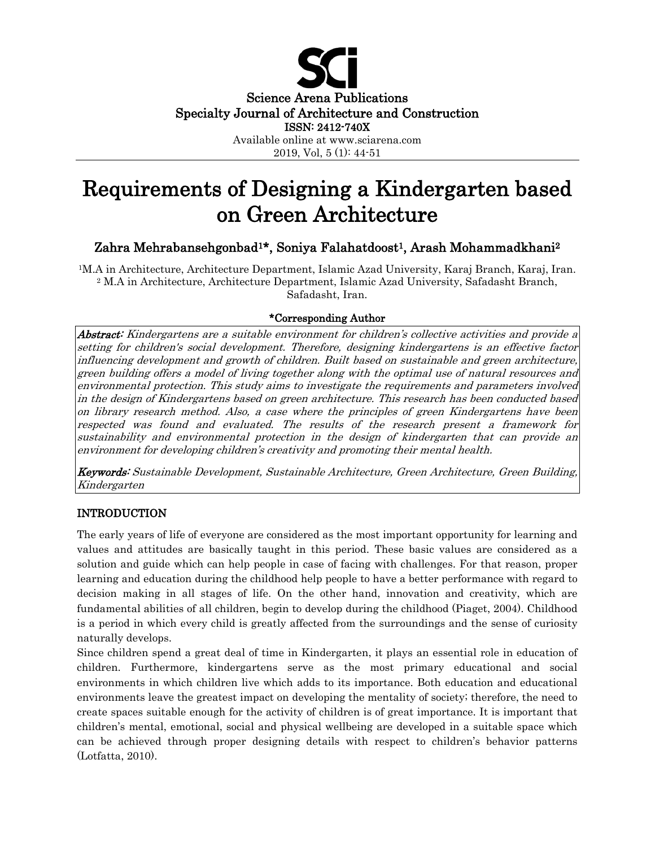

# Requirements of Designing a Kindergarten based on Green Architecture

## Zahra Mehrabansehgonbad<sup>1\*</sup>, Soniya Falahatdoost<sup>1</sup>, Arash Mohammadkhani<sup>2</sup>

1M.A in Architecture, Architecture Department, Islamic Azad University, Karaj Branch, Karaj, Iran. <sup>2</sup> M.A in Architecture, Architecture Department, Islamic Azad University, Safadasht Branch, Safadasht, Iran.

## \*Corresponding Author

Abstract: Kindergartens are a suitable environment for children's collective activities and provide a setting for children's social development. Therefore, designing kindergartens is an effective factor influencing development and growth of children. Built based on sustainable and green architecture, green building offers a model of living together along with the optimal use of natural resources and environmental protection. This study aims to investigate the requirements and parameters involved in the design of Kindergartens based on green architecture. This research has been conducted based on library research method. Also, a case where the principles of green Kindergartens have been respected was found and evaluated. The results of the research present a framework for sustainability and environmental protection in the design of kindergarten that can provide an environment for developing children's creativity and promoting their mental health.

Keywords: Sustainable Development, Sustainable Architecture, Green Architecture, Green Building, Kindergarten

## INTRODUCTION

The early years of life of everyone are considered as the most important opportunity for learning and values and attitudes are basically taught in this period. These basic values are considered as a solution and guide which can help people in case of facing with challenges. For that reason, proper learning and education during the childhood help people to have a better performance with regard to decision making in all stages of life. On the other hand, innovation and creativity, which are fundamental abilities of all children, begin to develop during the childhood (Piaget, 2004). Childhood is a period in which every child is greatly affected from the surroundings and the sense of curiosity naturally develops.

Since children spend a great deal of time in Kindergarten, it plays an essential role in education of children. Furthermore, kindergartens serve as the most primary educational and social environments in which children live which adds to its importance. Both education and educational environments leave the greatest impact on developing the mentality of society; therefore, the need to create spaces suitable enough for the activity of children is of great importance. It is important that children's mental, emotional, social and physical wellbeing are developed in a suitable space which can be achieved through proper designing details with respect to children's behavior patterns (Lotfatta, 2010).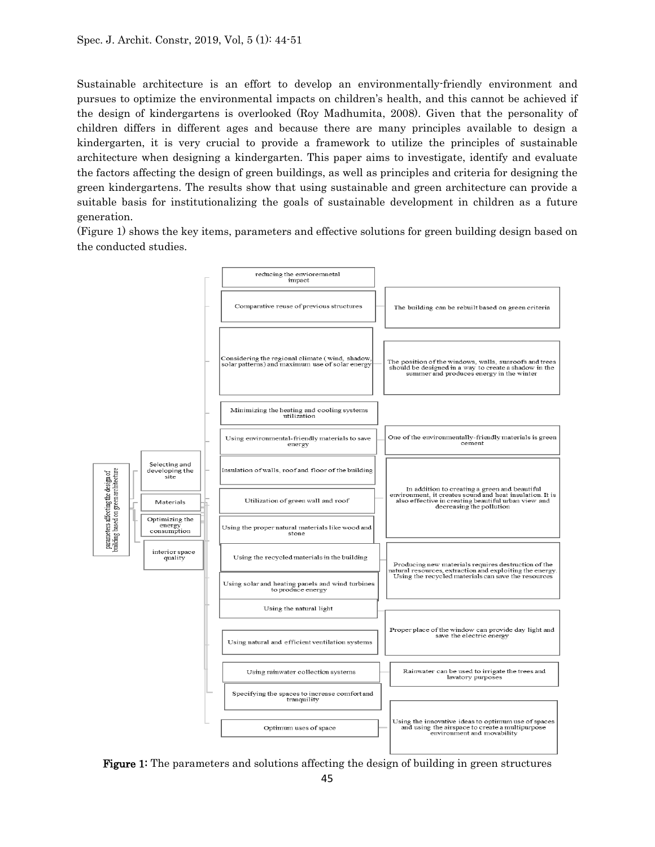Sustainable architecture is an effort to develop an environmentally-friendly environment and pursues to optimize the environmental impacts on children's health, and this cannot be achieved if the design of kindergartens is overlooked (Roy Madhumita, 2008). Given that the personality of children differs in different ages and because there are many principles available to design a kindergarten, it is very crucial to provide a framework to utilize the principles of sustainable architecture when designing a kindergarten. This paper aims to investigate, identify and evaluate the factors affecting the design of green buildings, as well as principles and criteria for designing the green kindergartens. The results show that using sustainable and green architecture can provide a suitable basis for institutionalizing the goals of sustainable development in children as a future generation.

(Figure 1) shows the key items, parameters and effective solutions for green building design based on the conducted studies.



Figure 1: The parameters and solutions affecting the design of building in green structures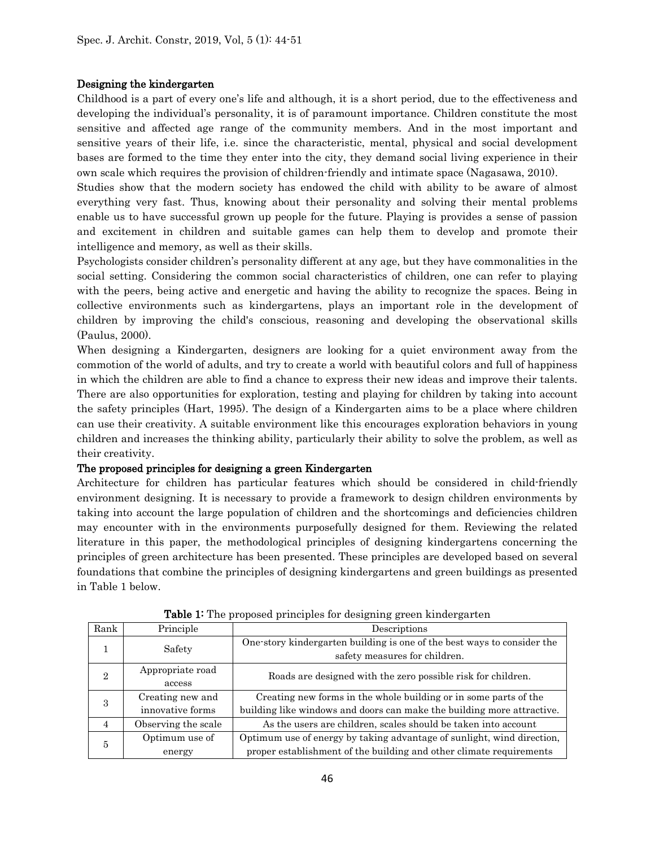#### Designing the kindergarten

Childhood is a part of every one's life and although, it is a short period, due to the effectiveness and developing the individual's personality, it is of paramount importance. Children constitute the most sensitive and affected age range of the community members. And in the most important and sensitive years of their life, i.e. since the characteristic, mental, physical and social development bases are formed to the time they enter into the city, they demand social living experience in their own scale which requires the provision of children-friendly and intimate space (Nagasawa, 2010).

Studies show that the modern society has endowed the child with ability to be aware of almost everything very fast. Thus, knowing about their personality and solving their mental problems enable us to have successful grown up people for the future. Playing is provides a sense of passion and excitement in children and suitable games can help them to develop and promote their intelligence and memory, as well as their skills.

Psychologists consider children's personality different at any age, but they have commonalities in the social setting. Considering the common social characteristics of children, one can refer to playing with the peers, being active and energetic and having the ability to recognize the spaces. Being in collective environments such as kindergartens, plays an important role in the development of children by improving the child's conscious, reasoning and developing the observational skills (Paulus, 2000).

When designing a Kindergarten, designers are looking for a quiet environment away from the commotion of the world of adults, and try to create a world with beautiful colors and full of happiness in which the children are able to find a chance to express their new ideas and improve their talents. There are also opportunities for exploration, testing and playing for children by taking into account the safety principles (Hart, 1995). The design of a Kindergarten aims to be a place where children can use their creativity. A suitable environment like this encourages exploration behaviors in young children and increases the thinking ability, particularly their ability to solve the problem, as well as their creativity.

#### The proposed principles for designing a green Kindergarten

Architecture for children has particular features which should be considered in child-friendly environment designing. It is necessary to provide a framework to design children environments by taking into account the large population of children and the shortcomings and deficiencies children may encounter with in the environments purposefully designed for them. Reviewing the related literature in this paper, the methodological principles of designing kindergartens concerning the principles of green architecture has been presented. These principles are developed based on several foundations that combine the principles of designing kindergartens and green buildings as presented in Table 1 below.

| Rank           | Principle           | Descriptions                                                                                             |  |  |  |
|----------------|---------------------|----------------------------------------------------------------------------------------------------------|--|--|--|
|                | Safety              | One-story kindergarten building is one of the best ways to consider the<br>safety measures for children. |  |  |  |
| $\overline{2}$ | Appropriate road    | Roads are designed with the zero possible risk for children.                                             |  |  |  |
|                | access              |                                                                                                          |  |  |  |
| 3              | Creating new and    | Creating new forms in the whole building or in some parts of the                                         |  |  |  |
|                | innovative forms    | building like windows and doors can make the building more attractive.                                   |  |  |  |
| $\overline{4}$ | Observing the scale | As the users are children, scales should be taken into account                                           |  |  |  |
| 5              | Optimum use of      | Optimum use of energy by taking advantage of sunlight, wind direction,                                   |  |  |  |
|                | energy              | proper establishment of the building and other climate requirements                                      |  |  |  |

Table 1: The proposed principles for designing green kindergarten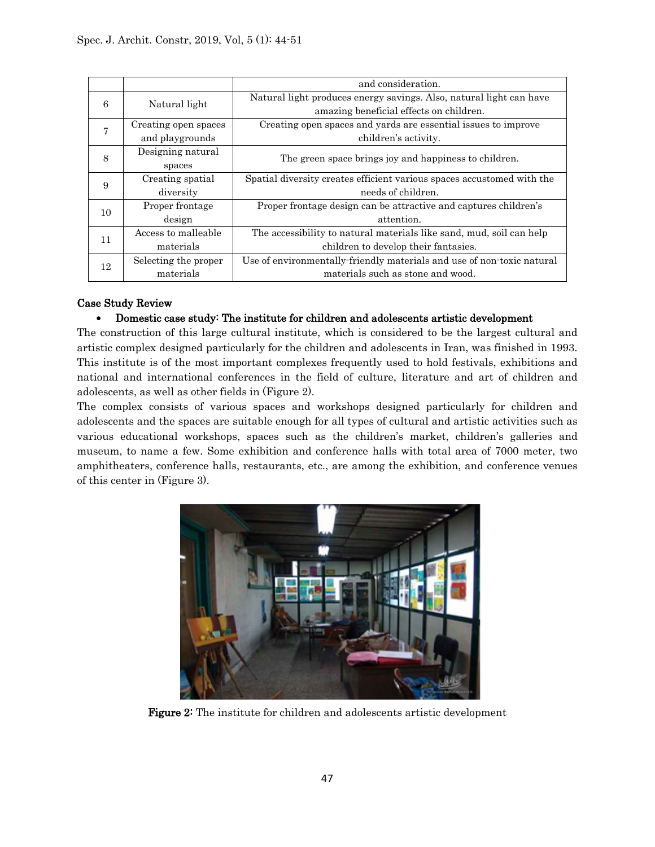|                |                      | and consideration.                                                     |  |  |
|----------------|----------------------|------------------------------------------------------------------------|--|--|
| 6              | Natural light        | Natural light produces energy savings. Also, natural light can have    |  |  |
|                |                      | amazing beneficial effects on children.                                |  |  |
| $\overline{7}$ | Creating open spaces | Creating open spaces and yards are essential issues to improve         |  |  |
|                | and playgrounds      | children's activity.                                                   |  |  |
| 8              | Designing natural    | The green space brings joy and happiness to children.                  |  |  |
|                | spaces               |                                                                        |  |  |
| 9              | Creating spatial     | Spatial diversity creates efficient various spaces accustomed with the |  |  |
|                | diversity            | needs of children.                                                     |  |  |
| 10             | Proper frontage      | Proper frontage design can be attractive and captures children's       |  |  |
|                | design               | attention.                                                             |  |  |
| 11             | Access to malleable  | The accessibility to natural materials like sand, mud, soil can help   |  |  |
|                | materials            | children to develop their fantasies.                                   |  |  |
| 12             | Selecting the proper | Use of environmentally friendly materials and use of non-toxic natural |  |  |
|                | materials            | materials such as stone and wood.                                      |  |  |

### Case Study Review

### • Domestic case study: The institute for children and adolescents artistic development

The construction of this large cultural institute, which is considered to be the largest cultural and artistic complex designed particularly for the children and adolescents in Iran, was finished in 1993. This institute is of the most important complexes frequently used to hold festivals, exhibitions and national and international conferences in the field of culture, literature and art of children and adolescents, as well as other fields in (Figure 2).

The complex consists of various spaces and workshops designed particularly for children and adolescents and the spaces are suitable enough for all types of cultural and artistic activities such as various educational workshops, spaces such as the children's market, children's galleries and museum, to name a few. Some exhibition and conference halls with total area of 7000 meter, two amphitheaters, conference halls, restaurants, etc., are among the exhibition, and conference venues of this center in (Figure 3).



Figure 2: The institute for children and adolescents artistic development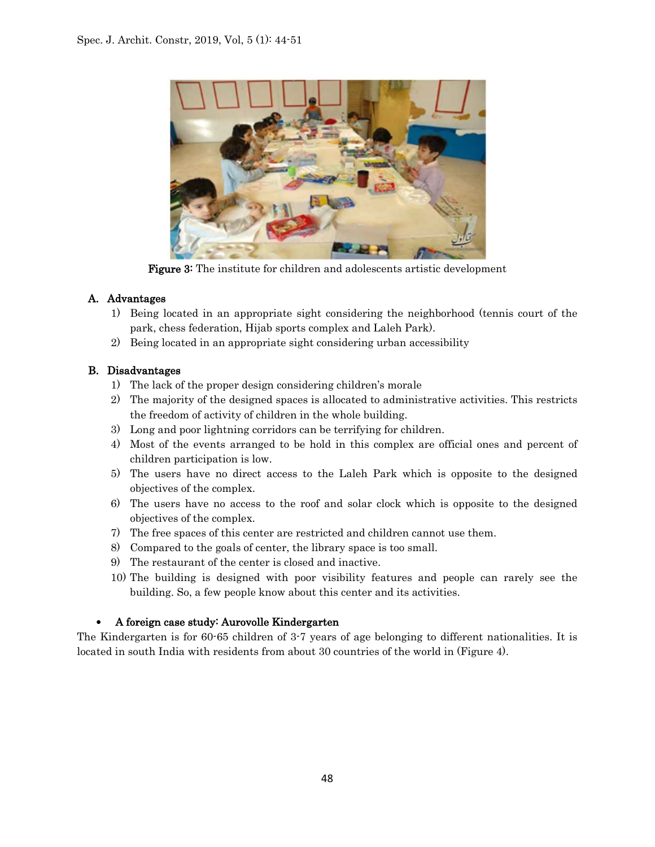

Figure 3: The institute for children and adolescents artistic development

## A. Advantages

- 1) Being located in an appropriate sight considering the neighborhood (tennis court of the park, chess federation, Hijab sports complex and Laleh Park).
- 2) Being located in an appropriate sight considering urban accessibility

## B. Disadvantages

- 1) The lack of the proper design considering children's morale
- 2) The majority of the designed spaces is allocated to administrative activities. This restricts the freedom of activity of children in the whole building.
- 3) Long and poor lightning corridors can be terrifying for children.
- 4) Most of the events arranged to be hold in this complex are official ones and percent of children participation is low.
- 5) The users have no direct access to the Laleh Park which is opposite to the designed objectives of the complex.
- 6) The users have no access to the roof and solar clock which is opposite to the designed objectives of the complex.
- 7) The free spaces of this center are restricted and children cannot use them.
- 8) Compared to the goals of center, the library space is too small.
- 9) The restaurant of the center is closed and inactive.
- 10) The building is designed with poor visibility features and people can rarely see the building. So, a few people know about this center and its activities.

## • A foreign case study: Aurovolle Kindergarten

The Kindergarten is for 60-65 children of 3-7 years of age belonging to different nationalities. It is located in south India with residents from about 30 countries of the world in (Figure 4).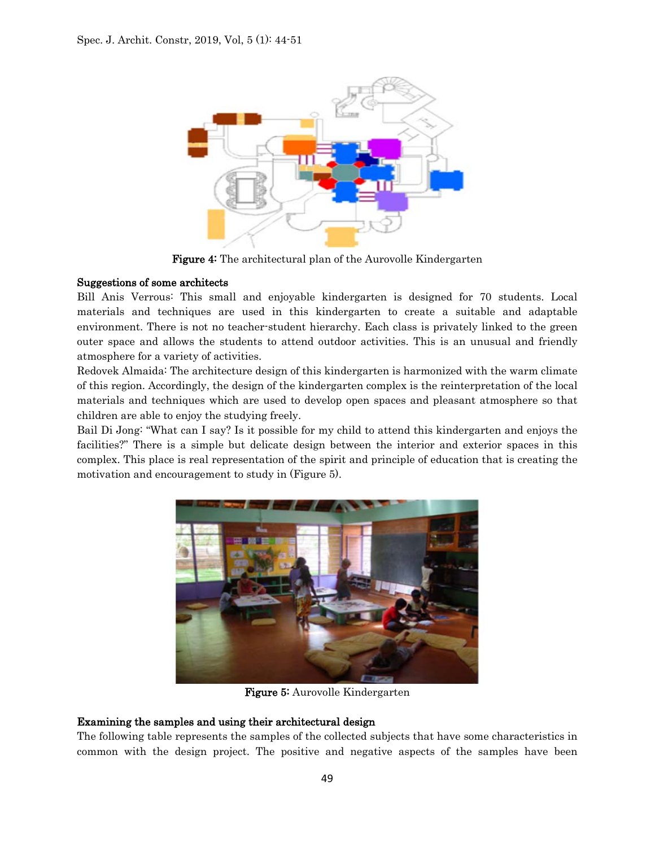

Figure 4: The architectural plan of the Aurovolle Kindergarten

#### Suggestions of some architects

Bill Anis Verrous: This small and enjoyable kindergarten is designed for 70 students. Local materials and techniques are used in this kindergarten to create a suitable and adaptable environment. There is not no teacher-student hierarchy. Each class is privately linked to the green outer space and allows the students to attend outdoor activities. This is an unusual and friendly atmosphere for a variety of activities.

Redovek Almaida: The architecture design of this kindergarten is harmonized with the warm climate of this region. Accordingly, the design of the kindergarten complex is the reinterpretation of the local materials and techniques which are used to develop open spaces and pleasant atmosphere so that children are able to enjoy the studying freely.

Bail Di Jong: "What can I say? Is it possible for my child to attend this kindergarten and enjoys the facilities?" There is a simple but delicate design between the interior and exterior spaces in this complex. This place is real representation of the spirit and principle of education that is creating the motivation and encouragement to study in (Figure 5).



Figure 5: Aurovolle Kindergarten

## Examining the samples and using their architectural design

The following table represents the samples of the collected subjects that have some characteristics in common with the design project. The positive and negative aspects of the samples have been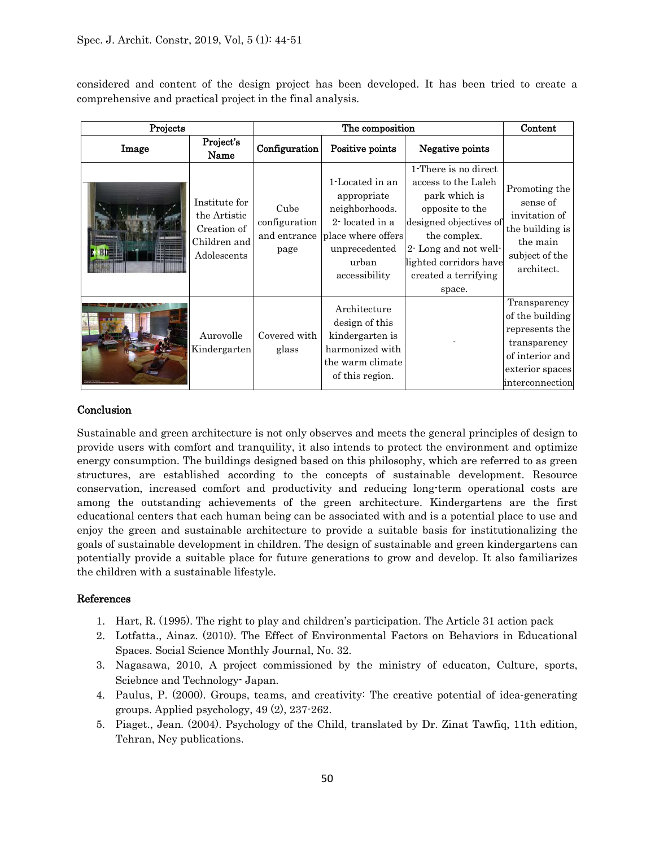considered and content of the design project has been developed. It has been tried to create a comprehensive and practical project in the final analysis.

| Projects |                                                                             | The composition                               |                                                                                                                                     |                                                                                                                                                                                                               | Content                                                                                                                    |
|----------|-----------------------------------------------------------------------------|-----------------------------------------------|-------------------------------------------------------------------------------------------------------------------------------------|---------------------------------------------------------------------------------------------------------------------------------------------------------------------------------------------------------------|----------------------------------------------------------------------------------------------------------------------------|
| Image    | Project's<br>Name                                                           | Configuration                                 | Positive points                                                                                                                     | Negative points                                                                                                                                                                                               |                                                                                                                            |
|          | Institute for<br>the Artistic<br>Creation of<br>Children and<br>Adolescents | Cube<br>configuration<br>and entrance<br>page | 1-Located in an<br>appropriate<br>neighborhoods.<br>2-located in a<br>place where offers<br>unprecedented<br>urban<br>accessibility | 1-There is no direct<br>access to the Laleh<br>park which is<br>opposite to the<br>designed objectives of<br>the complex.<br>2-Long and not well-<br>lighted corridors have<br>created a terrifying<br>space. | Promoting the<br>sense of<br>invitation of<br>the building is<br>the main<br>subject of the<br>architect.                  |
|          | Aurovolle<br>Kindergarten                                                   | Covered with<br>glass                         | Architecture<br>design of this<br>kindergarten is<br>harmonized with<br>the warm climate<br>of this region.                         |                                                                                                                                                                                                               | Transparency<br>of the building<br>represents the<br>transparency<br>of interior and<br>exterior spaces<br>interconnection |

#### Conclusion

Sustainable and green architecture is not only observes and meets the general principles of design to provide users with comfort and tranquility, it also intends to protect the environment and optimize energy consumption. The buildings designed based on this philosophy, which are referred to as green structures, are established according to the concepts of sustainable development. Resource conservation, increased comfort and productivity and reducing long-term operational costs are among the outstanding achievements of the green architecture. Kindergartens are the first educational centers that each human being can be associated with and is a potential place to use and enjoy the green and sustainable architecture to provide a suitable basis for institutionalizing the goals of sustainable development in children. The design of sustainable and green kindergartens can potentially provide a suitable place for future generations to grow and develop. It also familiarizes the children with a sustainable lifestyle.

### References

- 1. Hart, R. (1995). The right to play and children's participation. The Article 31 action pack
- 2. Lotfatta., Ainaz. (2010). The Effect of Environmental Factors on Behaviors in Educational Spaces. Social Science Monthly Journal, No. 32.
- 3. Nagasawa, 2010, A project commissioned by the ministry of educaton, Culture, sports, Sciebnce and Technology- Japan.
- 4. Paulus, P. (2000). Groups, teams, and creativity: The creative potential of idea‐generating groups. Applied psychology, 49 (2), 237-262.
- 5. Piaget., Jean. (2004). Psychology of the Child, translated by Dr. Zinat Tawfiq, 11th edition, Tehran, Ney publications.